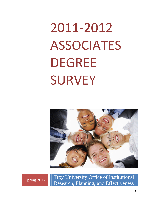# 2011‐2012 ASSOCIATES DEGREE SURVEY



Spring 2012 Troy University Office of Institutional Research, Planning, and Effectiveness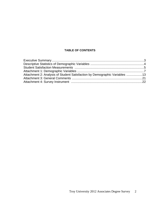# **TABLE OF CONTENTS**

| Attachment 2: Analysis of Student Satisfaction by Demographic Variables 13 |  |
|----------------------------------------------------------------------------|--|
|                                                                            |  |
|                                                                            |  |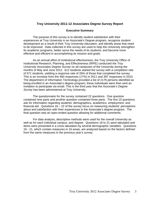## **Troy University 2011-12 Associates Degree Survey Report**

#### **Executive Summary**

The purpose of this survey is to identify student satisfaction with their experiences at Troy University in an Associate's Degree program, recognize student development as a result of their Troy University education, and identify areas that need to be improved. Data collected in this survey are used to help the University strengthen its academic programs, better serve the needs of its students, and become more effective and efficient in accomplishing its mission and goals.

 As an annual effort of institutional effectiveness, the Troy University Office of Institutional Research, Planning, and Effectiveness (IRPE) conducted the *Troy University Associates Degree Survey* on all campuses of the University during the months of May and June 2012. 612 students started the survey with a completion rate of 571 students, yielding a response rate of 26% of those that completed the survey. This is an increase from the 460 responses (17%) in 2011 and 397 responses in 2010. The department of Information Technology provided a list of 2176 persons identified as being enrolled in an Associate's degree program; these individuals were then sent an invitation to participate via email. This is the third year that the *Associate's Degree Survey* has been administered at Troy University.

 The questionnaire for the survey contained 22 questions. One question contained nine parts and another question contained three parts. The first 15 questions ask for information regarding students' demographics, academics, employment, and financial aid. Questions 16 – 22 of the survey focus on measuring students' perceptions about and satisfaction with their experiences in the Associate's degree program. The final question was an open-ended question allowing for additional comments.

 For data analysis, descriptive methods were used for the overall University as well as for each individual campus, and degree. Questions 18 to 21 were tabulated and items were presented in a cross tabulation by several demographic variables. Questions 16 - 21, which contain measures in 16 areas, are analyzed based on the factors defined from the same measures in the previous year's survey.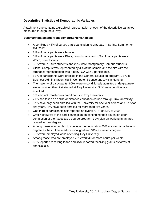# **Descriptive Statistics of Demographic Variables**

Attachment one contains a graphical representation of each of the descriptive variables measured through the survey.

## **Summary statements from demographic variables:**

- A combined 44% of survey participants plan to graduate in Spring, Summer, or Fall 2012.
- 71% of participants were female.
- 51% of participants were Black, non-Hispanic and 40% of participants were White, non-Hispanic.
- 58% were eTROY students and 26% were Montgomery Campus students.
- Global Campus was represented by 4% of the sample and the site with the strongest representation was Albany, GA with 9 participants.
- 52% of participants were enrolled in the General Education program, 28% in Business Administration, 6% in Computer Science and 14% in Nursing.
- The majority of participants, 60%, were unconditionally admitted undergraduate students when they first started at Troy University. 34% were conditionally admitted.
- 35% did not transfer any credit hours to Troy University.
- 71% had taken an online or distance education course through Troy University.
- 37% have only been enrolled with the University for one year or less and 37% for two years. 4% have been enrolled for more than five years.
- One third of participants self-reported an overall GPA of 2.50 to 2.99.
- Over half (55%) of the participants plan on continuing their education upon completion of the Associate's degree program. 30% plan on working in an area related to their degree.
- Among those who do plan to continue their education 55% envision a bachelor's degree as their ultimate educational goal and 34% a master's degree.
- 82% were employed while attending Troy University.
- Among those who are employed 73% work 40 or more hours per week.
- 63% reported receiving loans and 45% reported receiving grants as forms of financial aid.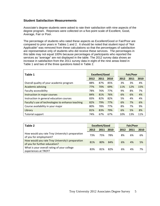## **Student Satisfaction Measurements**

Associate's degree students were asked to rate their satisfaction with nine aspects of the degree program. Reponses were collected on a five-point scale of Excellent, Good, Average, Fair or Poor.

The percentage of students who rated these aspects as Excellent/Good or Fair/Poor are compared to prior years in Tables 1 and 2. It should be noted that student input of "Not Applicable" was removed from these calculations so that the percentages of satisfaction are representative only of students who did receive these services. The percentages in this table may not equal 100% because percentages of participants who reported the services as "average" are not displayed in the table. The 2012 survey data shows an increase in satisfaction from the 2011 survey data in eight of the nine areas listed in Table 1 and two of the three questions listed in Table 2.

| Table 1                                           |      | <b>Excellent/Good</b> |      |  |      | <b>Fair/Poor</b> |      |  |
|---------------------------------------------------|------|-----------------------|------|--|------|------------------|------|--|
|                                                   | 2012 | 2011                  | 2010 |  | 2012 | 2011             | 2010 |  |
| Overall quality of your academic program          | 88%  | 87%                   | 85%  |  | 3%   | 3%               | 4%   |  |
| Academic advising                                 | 77%  | 70%                   | 69%  |  | 11%  | 12%              | 15%  |  |
| Faculty accessibility                             | 78%  | 76%                   | 77%  |  | 9%   | 8%               | 7%   |  |
| Instruction in major courses                      | 84%  | 81%                   | 76%  |  | 6%   | 6%               | 4%   |  |
| Instruction in general education courses          | 83%  | 82%                   | 82%  |  | 5%   | 4%               | 4%   |  |
| Faculty's use of technologies to enhance teaching | 82%  | 79%                   | 77%  |  | 6%   | 7%               | 6%   |  |
| Course availability in your major                 | 80%  | 78%                   | 77%  |  | 8%   | 7%               | 9%   |  |
| Library                                           | 81%  | 83%                   | 79%  |  | 6%   | 5%               | 8%   |  |
| Tutorial support                                  | 74%  | 67%                   | 67%  |  | 10%  | 13%              | 11%  |  |

| Table 2                                                                           | <b>Excellent/Good</b> |      | <b>Fair/Poor</b> |      |      |      |
|-----------------------------------------------------------------------------------|-----------------------|------|------------------|------|------|------|
|                                                                                   | 2012                  | 2011 | 2010             | 2012 | 2011 | 2010 |
| How would you rate Troy University's preparation<br>of you for employment?        | 73%                   | 75%  | 78%              | 8%   | 6%   | 6%   |
| How would you rate Troy University's preparation<br>of you for further education? | 81%                   | 80%  | 84%              | 6%   | 4%   | 5%   |
| What is your overall rating of your college<br>experiences at TROY?               | 83%                   | 81%  | 82%              | 6%   | 4%   | 7%   |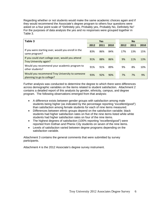Regarding whether or not students would make the same academic choices again and if they would recommend the Associate's degree program to others four questions were asked on a four point scale of "Definitely yes, Probably yes, Probably No, Definitely No" For the purposes of data analysis the yes and no responses were grouped together in Table 3.

| Table 3                                                                      |      | <b>Yes</b> |      |      | <b>No</b> |      |
|------------------------------------------------------------------------------|------|------------|------|------|-----------|------|
|                                                                              | 2012 | 2011       | 2010 | 2012 | 2011      | 2010 |
| If you were starting over, would you enroll in the<br>same program?          | 83%  | 86%        | 84%  | 17%  | 13%       | 15%  |
| If you could start college over, would you attend<br>Troy University again?  | 91%  | 88%        | 86%  | 9%   | 11%       | 13%  |
| Would you recommend your academic program to<br>other students?              | 91%  | 91%        | 89%  | 9%   | 8%        | 10%  |
| Would you recommend Troy University to someone<br>planning to go to college? | 93%  | 92%        | 90%  | 7%   | 7%        | 9%   |

Further analysis was conducted to determine the degree to which there were differences across demographic variables on the items related to student satisfaction. Attachment 2 contains a detailed report of this analysis by gender, ethnicity, campus, and degree program. The following observations emerged from that analysis:

- A difference exists between gender groups with satisfaction among male students being higher (as indicated by the percentage reporting "excellent/good") than satisfaction among female students for each of nine items measured.
- Differences between ethnic groups depend on the satisfaction variable; black students had higher satisfaction rates on five of the nine items listed while white students had higher satisfaction rates on four of the nine items.
- The highest degrees of satisfaction (100% reporting "excellent/good") were reported from Dothan and Phenix City students on seven of the nine items.
- Levels of satisfaction varied between degree programs depending on the satisfaction variable.

Attachment 3 contains the general comments that were submitted by survey participants.

Attachment 4 is the 2012 Associate's degree survey instrument.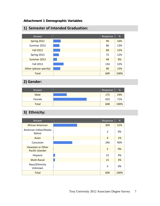# **Attachment 1 Demographic Variables**

| Answer                 | Response | %    |
|------------------------|----------|------|
| Spring 2012            | 96       | 16%  |
| Summer 2012            | 80       | 13%  |
| <b>Fall 2012</b>       | 89       | 15%  |
| Spring 2013            | 72       | 12%  |
| Summer 2013            | 48       | 8%   |
| Fall 2013              | 134      | 22%  |
| Other (please specify) | 90       | 15%  |
| <b>Total</b>           | 609      | 100% |

# **1) Semester of Intended Graduation:**

# **2) Gender:**

| Answer      | Response | %    |
|-------------|----------|------|
| <b>Male</b> | 175      | 29%  |
| Female      | 433      | 71%  |
| Total       | 608      | 100% |

# **3) Ethnicity:**

| Answer                                       | Response       | %    |
|----------------------------------------------|----------------|------|
| African American                             | 309            | 51%  |
| American Indian/Alaska<br><b>Native</b>      | $\overline{2}$ | 0%   |
| Asian                                        | $\overline{4}$ | 1%   |
| Caucasian                                    | 246            | 40%  |
| <b>Hawaiian or Other</b><br>Pacific Islander | $\overline{2}$ | 0%   |
| Hispanic                                     | 22             | 4%   |
| <b>Multi-Racial</b>                          | 21             | 3%   |
| Race/Ethnicity<br>Unknown                    | 3              | 0%   |
| <b>Total</b>                                 | 609            | 100% |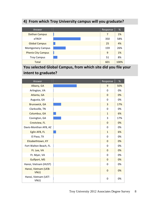# **4) From which Troy University campus will you graduate?**

| Answer                    | Response | %    |
|---------------------------|----------|------|
| <b>Dothan Campus</b>      | 7        | 1%   |
| eTROY                     | 350      | 58%  |
| <b>Global Campus</b>      | 25       | 4%   |
| <b>Montgomery Campus</b>  | 159      | 26%  |
| <b>Phenix City Campus</b> | 9        | 1%   |
| <b>Troy Campus</b>        | 51       | 8%   |
| <b>Total</b>              | 601      | 100% |

# **You selected Global Campus, from which site did you file your intent to graduate?**

| Answer                       | Response       | %   |
|------------------------------|----------------|-----|
| Albany, GA                   | 9              | 50% |
| Arlington, VA                | $\mathbf 0$    | 0%  |
| Atlanta, GA                  | $\mathbf 0$    | 0%  |
| Augusta, GA                  | $\mathbf 0$    | 0%  |
| <b>Brunswick, GA</b>         | 3              | 17% |
| Clarksville, TN              | $\mathbf 0$    | 0%  |
| Columbus, GA                 | $\mathbf{1}$   | 6%  |
| Covington, GA                | 3              | 17% |
| Crestview, FL                | $\overline{0}$ | 0%  |
| Davis-Monthan AFB, AZ        | $\overline{0}$ | 0%  |
| Eglin AFB, FL                | $\mathbf{1}$   | 6%  |
| El Paso, TX                  | $\mathbf 0$    | 0%  |
| Elizabethtown, KY            | $\mathbf 0$    | 0%  |
| Fort Walton Beach, FL        | $\overline{0}$ | 0%  |
| Ft. Lee, VA                  | $\mathbf 0$    | 0%  |
| Ft. Myer, VA                 | $\mathbf 0$    | 0%  |
| Gulfport, MS                 | $\mathbf 0$    | 0%  |
| Hanoi, Vietnam (HUST)        | $\mathbf 0$    | 0%  |
| Hanoi, Vietnam (UEB-<br>VNU) | $\overline{0}$ | 0%  |
| Hanoi, Vietnam (UET-<br>VNU) | $\mathbf 0$    | 0%  |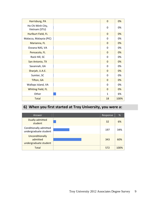| Harrisburg, PA                     | $\mathbf 0$    | 0%   |
|------------------------------------|----------------|------|
| Ho Chi Minh City,<br>Vietnam (STU) | $\mathbf 0$    | 0%   |
| Hurlburt Field, FL                 | $\mathbf 0$    | 0%   |
| Malacca, Malaysia (PIC)            | $\overline{0}$ | 0%   |
| Marianna, FL                       | $\mathbf{0}$   | 0%   |
| Oceana NAS, VA                     | $\Omega$       | 0%   |
| Pensacola, FL                      | $\mathbf 0$    | 0%   |
| Rock Hill, SC                      | $\overline{0}$ | 0%   |
| San Antonio, TX                    | $\Omega$       | 0%   |
| Savannah, GA                       | $\overline{0}$ | 0%   |
| Sharjah, U.A.E.                    | $\overline{0}$ | 0%   |
| Sumter, SC                         | $\overline{0}$ | 0%   |
| Tifton, GA                         | $\mathbf{0}$   | 0%   |
| Wallops Island, VA                 | $\Omega$       | 0%   |
| Whiting Field, FL                  | $\mathbf 0$    | 0%   |
| Other                              | $\mathbf{1}$   | 6%   |
| <b>Total</b>                       | 18             | 100% |

# **6) When you first started at Troy University, you were a:**

| Answer                                               | Response | %    |
|------------------------------------------------------|----------|------|
| Dually-admitted<br>student                           | 32       | 6%   |
| Conditionally admitted<br>undergraduate student      | 197      | 34%  |
| Unconditionally<br>admitted<br>undergraduate student | 343      | 60%  |
| <b>Total</b>                                         | 572      | 100% |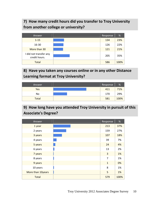# **7) How many credit hours did you transfer to Troy University from another college or university?**

| Answer                                  | Response | %    |
|-----------------------------------------|----------|------|
| $1 - 15$                                | 134      | 23%  |
| 16-30                                   | 126      | 22%  |
| More than 30                            | 121      | 21%  |
| I did not transfer any<br>credit hours. | 205      | 35%  |
| <b>Total</b>                            | 586      | 100% |

# **8) Have you taken any courses online or in any other Distance Learning format at Troy University?**

| Answer       | Response | %    |
|--------------|----------|------|
| Yes          | 411      | 71%  |
| No           | 170      | 29%  |
| <b>Total</b> | 581      | 100% |

# **9) How long have you attended Troy University in pursuit of this Associate's Degree?**

| Answer            | Response     | $\%$ |
|-------------------|--------------|------|
| 1 year            | 213          | 37%  |
| 2 years           | 159          | 27%  |
| 3 years           | 107          | 18%  |
| 4 years           | 39           | 7%   |
| 5 years           | 24           | 4%   |
| 6 years           | 13           | 2%   |
| 7 years           | 3            | 1%   |
| 8 years           | 7            | 1%   |
| 9 years           | $\mathbf{1}$ | 0%   |
| 10 years          | 8            | 1%   |
| More than 10years | 5            | 1%   |
| Total             | 579          | 100% |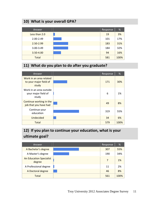# **10) What is your overall GPA?**

| Answer        | Response | %    |
|---------------|----------|------|
| Less than 2.0 | 19       | 3%   |
| $2.00 - 2.49$ | 101      | 17%  |
| 2.50-2.99     | 183      | 31%  |
| $3.00 - 3.49$ | 184      | 32%  |
| 3.50-4.00     | 94       | 16%  |
| <b>Total</b>  | 581      | 100% |

# **11) What do you plan to do after you graduate?**

| Answer                                                     | Response | %    |
|------------------------------------------------------------|----------|------|
| Work in an area related<br>to your major field of<br>study | 171      | 30%  |
| Work in an area outside<br>your major field of<br>study    | 6        | 1%   |
| Continue working in the<br>job that you have had           | 49       | 8%   |
| Continue your<br>education                                 | 319      | 55%  |
| <b>Undecided</b>                                           | 34       | 6%   |
| <b>Total</b>                                               | 579      | 100% |

# **12) If you plan to continue your education, what is your ultimate goal?**

| Answer                                   | Response | %    |
|------------------------------------------|----------|------|
| A Bachelor's degree                      | 307      | 55%  |
| A Master's degree                        | 190      | 34%  |
| <b>An Education Specialist</b><br>degree | 7        | 1%   |
| A Professional degree                    | 11       | 2%   |
| A Doctoral degree                        | 46       | 8%   |
| <b>Total</b>                             | 561      | 100% |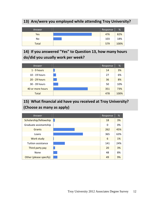# **13) Are/were you employed while attending Troy University?**

| Answer       | Response | %    |
|--------------|----------|------|
| Yes          | 476      | 82%  |
| No           | 103      | 18%  |
| <b>Total</b> | 579      | 100% |

**14) If you answered "Yes" to Question 13, how many hours do/did you usually work per week?**

| Answer           | Response | %    |
|------------------|----------|------|
| $1 - 9$ hours    | 14       | 3%   |
| 10 - 19 hours    | 27       | 6%   |
| 20 - 29 hours    | 36       | 8%   |
| 30 - 39 hours    | 50       | 10%  |
| 40 or more hours | 351      | 73%  |
| <b>Total</b>     | 478      | 100% |

# **15) What financial aid have you received at Troy University? (Choose as many as apply)**

| Answer                    | Response | %   |
|---------------------------|----------|-----|
| Scholarship/fellowship    | 18       | 3%  |
| Graduate assistantship    | 0        | 0%  |
| <b>Grants</b>             | 262      | 45% |
| Loans                     | 365      | 63% |
| Work study                | 6        | 1%  |
| <b>Tuition assistance</b> | 141      | 24% |
| Third party pay           | 20       | 3%  |
| None                      | 48       | 8%  |
| Other (please specify)    | 49       | 9%  |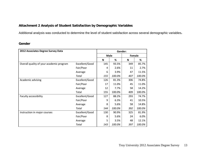# **Attachment 2 Analysis of Student Satisfaction by Demographic Variables**

Additional analysis was conducted to determine the level of student satisfaction across several demographic variables**.** 

## **Gender**

| 2012 Associates Degree Survey Data       | Gender:        |             |        |        |        |  |  |
|------------------------------------------|----------------|-------------|--------|--------|--------|--|--|
|                                          |                | <b>Male</b> |        | Female |        |  |  |
|                                          |                | N           | %      | N      | %      |  |  |
| Overall quality of your academic program | Excellent/Good | 145         | 93.5%  | 349    | 85.7%  |  |  |
|                                          | Fair/Poor      | 4           | 2.6%   | 11     | 2.7%   |  |  |
|                                          | Average        | 6           | 3.9%   | 47     | 11.5%  |  |  |
|                                          | Total          | 155         | 100.0% | 407    | 100.0% |  |  |
| Academic advising                        | Excellent/Good | 126         | 81.3%  | 306    | 74.8%  |  |  |
|                                          | Fair/Poor      | 17          | 11.0%  | 45     | 11.0%  |  |  |
|                                          | Average        | 12          | 7.7%   | 58     | 14.2%  |  |  |
|                                          | Total          | 155         | 100.0% | 409    | 100.0% |  |  |
| Faculty accessibility                    | Excellent/Good | 127         | 88.2%  | 293    | 74.7%  |  |  |
|                                          | Fair/Poor      | 9           | 6.3%   | 41     | 10.5%  |  |  |
|                                          | Average        | 8           | 5.6%   | 58     | 14.8%  |  |  |
|                                          | Total          | 144         | 100.0% | 392    | 100.0% |  |  |
| Instruction in major courses             | Excellent/Good | 130         | 90.9%  | 325    | 81.9%  |  |  |
|                                          | Fair/Poor      | 8           | 5.6%   | 24     | 6.0%   |  |  |
|                                          | Average        | 5           | 3.5%   | 48     | 12.1%  |  |  |
|                                          | <b>Total</b>   | 143         | 100.0% | 397    | 100.0% |  |  |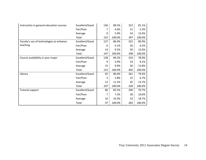| Instruction in general education courses | Excellent/Good | 136 | 89.5%  | 322 | 81.1%  |
|------------------------------------------|----------------|-----|--------|-----|--------|
|                                          | Fair/Poor      | 7   | 4.6%   | 21  | 5.3%   |
|                                          | Average        | 9   | 5.9%   | 54  | 13.6%  |
|                                          | Total          | 152 | 100.0% | 397 | 100.0% |
| Faculty's use of technologies to enhance | Excellent/Good | 127 | 86.4%  | 322 | 80.9%  |
| teaching                                 | Fair/Poor      | 6   | 4.1%   | 26  | 6.5%   |
|                                          | Average        | 14  | 9.5%   | 50  | 12.6%  |
|                                          | Total          | 147 | 100.0% | 398 | 100.0% |
| Course availability in your major        | Excellent/Good | 128 | 84.2%  | 316 | 78.0%  |
|                                          | Fair/Poor      | 9   | 5.9%   | 33  | 8.1%   |
|                                          | Average        | 15  | 9.9%   | 56  | 13.8%  |
|                                          | Total          | 152 | 100.0% | 405 | 100.0% |
| Library                                  | Excellent/Good | 92  | 86.0%  | 261 | 79.6%  |
|                                          | Fair/Poor      | 3   | 2.8%   | 22  | 6.7%   |
|                                          | Average        | 12  | 11.2%  | 45  | 13.7%  |
|                                          | Total          | 107 | 100.0% | 328 | 100.0% |
| <b>Tutorial support</b>                  | Excellent/Good | 80  | 82.5%  | 200 | 70.7%  |
|                                          | Fair/Poor      | 7   | 7.2%   | 30  | 10.6%  |
|                                          | Average        | 10  | 10.3%  | 53  | 18.7%  |
|                                          | Total          | 97  | 100.0% | 283 | 100.0% |
|                                          |                |     |        |     |        |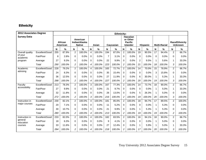# **Ethnicity**

| <b>2012 Associates Degree</b> |                | <b>Ethnicity:</b> |                     |                |                                            |             |        |                |           |                |                                                                  |                |          |          |                     |                |                                         |
|-------------------------------|----------------|-------------------|---------------------|----------------|--------------------------------------------|-------------|--------|----------------|-----------|----------------|------------------------------------------------------------------|----------------|----------|----------|---------------------|----------------|-----------------------------------------|
| <b>Survey Data</b>            |                |                   | African<br>American |                | American<br>Indian/Alaska<br><b>Native</b> |             | Asian  |                | Caucasian |                | <b>Hawaiian</b><br>or Other<br><b>Pacific</b><br><b>Islander</b> |                | Hispanic |          | <b>Multi-Racial</b> |                | <b>Race/Ethnicity</b><br><b>Unknown</b> |
|                               |                | N                 | %                   | N              | %                                          | N           | %      | N              | %         | $\mathsf{N}$   | $\%$                                                             | N              | %        | N        | %                   | N              | $\frac{9}{6}$                           |
| Overall quality               | Excellent/Good | 255               | 87.9%               | $\overline{2}$ | 100.0%                                     | 4           | 100.0% | 194            | 87.0%     | $\overline{2}$ | 100.0%                                                           | 19             | 90.5%    | 17       | 94.4%               | $\overline{2}$ | 66.7%                                   |
| of your<br>academic           | Fair/Poor      | 8                 | 2.8%                | $\Omega$       | 0.0%                                       | $\mathbf 0$ | 0.0%   | $\overline{7}$ | 3.1%      | $\Omega$       | 0.0%                                                             | $\Omega$       | 0.0%     | $\Omega$ | 0.0%                | $\Omega$       | 0.0%                                    |
| program                       | Average        | 27                | 9.3%                | $\Omega$       | 0.0%                                       | 0           | 0.0%   | 22             | 9.9%      | $\mathbf{0}$   | 0.0%                                                             | $\overline{2}$ | 9.5%     |          | 5.6%                | $\mathbf{1}$   | 33.3%                                   |
|                               | Total          | 290               | 100.0%              | $\overline{c}$ | 100.0%                                     | 4           | 100.0% | 223            | 100.0%    | $\overline{c}$ | 100.0%                                                           | 21             | 100.0%   | 18       | 100.0%              | 3              | 100.0%                                  |
| Academic                      | Excellent/Good | 228               | 79.2%               | $\overline{c}$ | 100.0%                                     | 4           | 100.0% | 165            | 72.7%     | 2              | 100.0%                                                           | 14             | 70.0%    | 15       | 78.9%               | $\overline{2}$ | 66.7%                                   |
| advising                      | Fair/Poor      | 24                | 8.3%                | $\Omega$       | 0.0%                                       | $\mathbf 0$ | 0.0%   | 35             | 15.4%     | $\mathbf 0$    | 0.0%                                                             | $\Omega$       | 0.0%     | 3        | 15.8%               | $\Omega$       | 0.0%                                    |
|                               | Average        | 36                | 12.5%               | $\Omega$       | 0.0%                                       | $\Omega$    | 0.0%   | 27             | 11.9%     | $\Omega$       | 0.0%                                                             | 6              | 30.0%    |          | 5.3%                | $\mathbf{1}$   | 33.3%                                   |
|                               | Total          | 288               | 100.0%              | 2              | 100.0%                                     | 4           | 100.0% | 227            | 100.0%    | 2              | 100.0%                                                           | 20             | 100.0%   | 19       | 100.0%              | 3              | 100.0%                                  |
| Faculty                       | Excellent/Good | 213               | 78.3%               | $\overline{c}$ | 100.0%                                     | 3           | 100.0% | 167            | 77.3%     | $\overline{2}$ | 100.0%                                                           | 14             | 73.7%    | 18       | 90.0%               | 2              | 66.7%                                   |
| accessibility                 | Fair/Poor      | 27                | 9.9%                | $\Omega$       | 0.0%                                       | $\mathbf 0$ | 0.0%   | 21             | 9.7%      | $\Omega$       | 0.0%                                                             | $\Omega$       | 0.0%     | 1        | 5.0%                | $\mathbf{1}$   | 33.3%                                   |
|                               | Average        | 32                | 11.8%               | $\Omega$       | 0.0%                                       | 0           | 0.0%   | 28             | 13.0%     | $\mathbf{0}$   | 0.0%                                                             | 5              | 26.3%    |          | 5.0%                | $\Omega$       | 0.0%                                    |
|                               | Total          | 272               | 100.0%              | 2              | 100.0%                                     | 3           | 100.0% | 216            | 100.0%    | 2              | 100.0%                                                           | 19             | 100.0%   | 20       | 100.0%              | 3              | 100.0%                                  |
| Instruction in                | Excellent/Good | 230               | 82.1%               | $\overline{2}$ | 100.0%                                     | 4           | 100.0% | 181            | 85.0%     | $\overline{2}$ | 100.0%                                                           | 18             | 94.7%    | 17       | 89.5%               | 2              | 100.0%                                  |
| major courses                 | Fair/Poor      | 20                | 7.1%                | $\Omega$       | 0.0%                                       | $\mathbf 0$ | 0.0%   | 11             | 5.2%      | $\mathbf 0$    | 0.0%                                                             | $\Omega$       | 0.0%     | 1        | 5.3%                | $\Omega$       | 0.0%                                    |
|                               | Average        | 30                | 10.7%               | $\Omega$       | 0.0%                                       | $\Omega$    | 0.0%   | 21             | 9.9%      | $\Omega$       | 0.0%                                                             | 1              | 5.3%     |          | 5.3%                | $\Omega$       | 0.0%                                    |
|                               | Total          | 280               | 100.0%              | $\overline{c}$ | 100.0%                                     | 4           | 100.0% | 213            | 100.0%    | 2              | 100.0%                                                           | 19             | 100.0%   | 19       | 100.0%              | $\overline{c}$ | 100.0%                                  |
| Instruction in                | Excellent/Good | 233               | 82.0%               | $\overline{2}$ | 100.0%                                     | 4           | 100.0% | 182            | 83.5%     | $\overline{2}$ | 100.0%                                                           | 16             | 94.1%    | 18       | 90.0%               | 2              | 66.7%                                   |
| general<br>education          | Fair/Poor      | 18                | 6.3%                | $\Omega$       | 0.0%                                       | $\mathbf 0$ | 0.0%   | 9              | 4.1%      | $\mathbf{0}$   | 0.0%                                                             | $\Omega$       | 0.0%     | 1        | 5.0%                | $\Omega$       | 0.0%                                    |
| courses                       | Average        | 33                | 11.6%               | $\Omega$       | 0.0%                                       | $\mathbf 0$ | 0.0%   | 27             | 12.4%     | $\mathbf 0$    | 0.0%                                                             | $\mathbf{1}$   | 5.9%     |          | 5.0%                | $\mathbf{1}$   | 33.3%                                   |
|                               | Total          | 284               | 100.0%              | $\overline{c}$ | 100.0%                                     | 4           | 100.0% | 218            | 100.0%    | 2              | 100.0%                                                           | 17             | 100.0%   | 20       | 100.0%              | 3              | 100.0%                                  |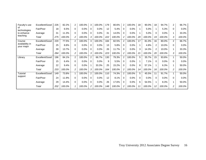| Faculty's use                 | Excellent/Good | 226 | 82.2%  | 2              | 100.0% | 3        | 100.0% | 179 | 80.6%  | 2              | 100.0%  | 18           | 90.0%  | 18             | 94.7%   | 2              | 66.7%   |
|-------------------------------|----------------|-----|--------|----------------|--------|----------|--------|-----|--------|----------------|---------|--------------|--------|----------------|---------|----------------|---------|
| οf<br>technologies            | Fair/Poor      | 18  | 6.5%   | $\Omega$       | 0.0%   | 0        | 0.0%   | 12  | 5.4%   | 0              | 0.0%    |              | 5.0%   |                | 5.3%    | $\Omega$       | 0.0%    |
| to enhance                    | Average        | 31  | 11.3%  | $\Omega$       | 0.0%   | 0        | 0.0%   | 31  | 14.0%  | 0              | 0.0%    |              | 5.0%   | 0              | $0.0\%$ |                | 33.3%   |
| teaching                      | Total          | 275 | 100.0% | 2              | 100.0% | 3        | 100.0% | 222 | 100.0% | 2              | 100.0%  | 20           | 100.0% | 19             | 100.0%  | 3              | 100.0%  |
| Course                        | Excellent/Good | 220 | 77.5%  | 2              | 100.0% | 3        | 100.0% | 184 | 82.5%  | $\overline{2}$ | 100.0%  | 17           | 81.0%  | 16             | 80.0%   | 2              | 66.7%   |
| availability in<br>your major | Fair/Poor      | 25  | 8.8%   | $\Omega$       | 0.0%   | 0        | 0.0%   | 13  | 5.8%   | 0              | 0.0%    | $\mathbf{1}$ | 4.8%   | $\overline{2}$ | 10.0%   | $\Omega$       | 0.0%    |
|                               | Average        | 39  | 13.7%  | 0              | 0.0%   | $\Omega$ | 0.0%   | 26  | 11.7%  | $\Omega$       | 0.0%    | 3            | 14.3%  | $\overline{2}$ | 10.0%   |                | 33.3%   |
|                               | Total          | 284 | 100.0% | 2              | 100.0% | 3        | 100.0% | 223 | 100.0% | 2              | 100.0%  | 21           | 100.0% | 20             | 100.0%  | 3              | 100.0%  |
| Library                       | Excellent/Good | 196 | 84.1%  | $\overline{2}$ | 100.0% | 2        | 66.7%  | 130 | 79.3%  | $\overline{2}$ | 100.0%  | 5            | 35.7%  | 15             | 93.8%   | 1.             | 50.0%   |
|                               | Fair/Poor      | 15  | 6.4%   | 0              | 0.0%   | 0        | 0.0%   | 9   | 5.5%   | $\Omega$       | 0.0%    | 1.           | 7.1%   | 0              | $0.0\%$ | $\Omega$       | 0.0%    |
|                               | Average        | 22  | 9.4%   | $\Omega$       | 0.0%   |          | 33.3%  | 25  | 15.2%  | $\Omega$       | 0.0%    | 8            | 57.1%  |                | 6.3%    |                | 50.0%   |
|                               | Total          | 233 | 100.0% | 2              | 100.0% | 3        | 100.0% | 164 | 100.0% | 2              | 100.0%  | 14           | 100.0% | 16             | 100.0%  | $\overline{2}$ | 100.0%  |
| <b>Tutorial</b>               | Excellent/Good | 149 | 73.8%  |                | 100.0% | 2        | 100.0% | 110 | 74.3%  | 2              | 100.0%  | 5            | 45.5%  | 11             | 91.7%   |                | 50.0%   |
| support                       | Fair/Poor      | 24  | 11.9%  | $\Omega$       | 0.0%   | $\Omega$ | 0.0%   | 12  | 8.1%   | $\Omega$       | 0.0%    | 0            | 0.0%   | $\Omega$       | $0.0\%$ | $\Omega$       | $0.0\%$ |
|                               | Average        | 29  | 14.4%  | 0              | 0.0%   | 0        | 0.0%   | 26  | 17.6%  | 0              | $0.0\%$ | 6            | 54.5%  |                | 8.3%    | 1              | 50.0%   |
|                               | Total          | 202 | 100.0% |                | 100.0% |          | 100.0% | 148 | 100.0% | $\overline{c}$ | 100.0%  | 11           | 100.0% | 12             | 100.0%  | 2              | 100.0%  |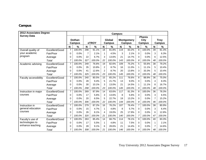# **Campus**

| 2012 Associates Degree |                | <b>Campus:</b> |                                         |                |                         |              |                                    |     |                                        |                |                              |                 |               |  |
|------------------------|----------------|----------------|-----------------------------------------|----------------|-------------------------|--------------|------------------------------------|-----|----------------------------------------|----------------|------------------------------|-----------------|---------------|--|
| <b>Survey Data</b>     |                |                | <b>Dothan</b><br>eTROY<br><b>Campus</b> |                | <b>Global</b><br>Campus |              | <b>Montgomery</b><br><b>Campus</b> |     | <b>Phenix</b><br>City<br><b>Campus</b> |                | <b>Troy</b><br><b>Campus</b> |                 |               |  |
|                        |                | N              | %                                       | N              | $\%$                    | N            | %                                  | N   | %                                      | N              | %                            | $\mathbf N$     | $\frac{0}{0}$ |  |
| Overall quality of     | Excellent/Good | $\overline{7}$ | 100.0%                                  | 298            | 91.1%                   | 18           | 81.8%                              | 119 | 83.2%                                  | 8              | 100.0%                       | 39              | 81.3%         |  |
| your academic          | Fair/Poor      | 0              | 0.0%                                    | $\overline{7}$ | 2.1%                    | $\mathbf{1}$ | 4.5%                               | 3   | 2.1%                                   | 0              | 0.0%                         | 3               | 6.3%          |  |
| program                | Average        | 0              | 0.0%                                    | 22             | 6.7%                    | 3            | 13.6%                              | 21  | 14.7%                                  | $\Omega$       | 0.0%                         | 6               | 12.5%         |  |
|                        | <b>Total</b>   | $\overline{7}$ | 100.0%                                  | 327            | 100.0%                  | 22           | 100.0%                             | 143 | 100.0%                                 | 8              | 100.0%                       | 48              | 100.0%        |  |
| Academic advising      | Excellent/Good | $\overline{7}$ | 100.0%                                  | 249            | 76.6%                   | 19           | 82.6%                              | 109 | 75.2%                                  | 5              | 55.6%                        | 38              | 79.2%         |  |
|                        | Fair/Poor      | 0              | 0.0%                                    | 35             | 10.8%                   | 2            | 8.7%                               | 16  | 11.0%                                  | $\mathbf{1}$   | 11.1%                        | 5               | 10.4%         |  |
|                        | Average        | 0              | 0.0%                                    | 41             | 12.6%                   | 2            | 8.7%                               | 20  | 13.8%                                  | 3              | 33.3%                        | 5               | 10.4%         |  |
|                        | <b>Total</b>   | $\overline{7}$ | 100.0%                                  | 325            | 100.0%                  | 23           | 100.0%                             | 145 | 100.0%                                 | 9              | 100.0%                       | 48              | 100.0%        |  |
| Faculty accessibility  | Excellent/Good | $\overline{7}$ | 100.0%                                  | 240            | 80.5%                   | 15           | 65.2%                              | 111 | 76.6%                                  | 8              | 88.9%                        | $\overline{36}$ | 75.0%         |  |
|                        | Fair/Poor      | 0              | 0.0%                                    | 28             | 9.4%                    | 5            | 21.7%                              | 13  | 9.0%                                   | $\Omega$       | 0.0%                         | $\overline{4}$  | 8.3%          |  |
|                        | Average        | 0              | 0.0%                                    | 30             | 10.1%                   | 3            | 13.0%                              | 21  | 14.5%                                  | $\mathbf{1}$   | 11.1%                        | 8               | 16.7%         |  |
|                        | Total          | $\overline{7}$ | 100.0%                                  | 298            | 100.0%                  | 23           | 100.0%                             | 145 | 100.0%                                 | 9              | 100.0%                       | 48              | 100.0%        |  |
| Instruction in major   | Excellent/Good | $\overline{7}$ | 100.0%                                  | 269            | 87.9%                   | 14           | 63.6%                              | 117 | 81.3%                                  | 8              | 100.0%                       | 36              | 78.3%         |  |
| courses                | Fair/Poor      | 0              | 0.0%                                    | 17             | 5.6%                    | 3            | 13.6%                              | 8   | 5.6%                                   | 0              | 0.0%                         | 3               | 6.5%          |  |
|                        | Average        | 0              | 0.0%                                    | 20             | 6.5%                    | 5            | 22.7%                              | 19  | 13.2%                                  | $\Omega$       | 0.0%                         | $\overline{7}$  | 15.2%         |  |
|                        | <b>Total</b>   | $\overline{7}$ | 100.0%                                  | 306            | 100.0%                  | 22           | 100.0%                             | 144 | 100.0%                                 | 8              | 100.0%                       | 46              | 100.0%        |  |
| Instruction in         | Excellent/Good | $\overline{7}$ | 100.0%                                  | 279            | 87.2%                   | 16           | 76.2%                              | 107 | 76.4%                                  | $\overline{7}$ | 100.0%                       | 38              | 80.9%         |  |
| general education      | Fair/Poor      | 0              | 0.0%                                    | 15             | 4.7%                    | 1            | 4.8%                               | 8   | 5.7%                                   | 0              | 0.0%                         | 3               | 6.4%          |  |
| courses                | Average        | 0              | 0.0%                                    | 26             | 8.1%                    | 4            | 19.0%                              | 25  | 17.9%                                  | 0              | 0.0%                         | 6               | 12.8%         |  |
|                        | Total          | 7              | 100.0%                                  | 320            | 100.0%                  | 21           | 100.0%                             | 140 | 100.0%                                 | $\overline{7}$ | 100.0%                       | 47              | 100.0%        |  |
| Faculty's use of       | Excellent/Good | $\overline{7}$ | 100.0%                                  | 263            | 85.4%                   | 14           | 66.7%                              | 114 | 78.1%                                  | 9              | 100.0%                       | 40              | 83.3%         |  |
| technologies to        | Fair/Poor      | 0              | 0.0%                                    | 17             | 5.5%                    | 1            | 4.8%                               | 11  | 7.5%                                   | 0              | 0.0%                         | 1               | 2.1%          |  |
| enhance teaching       | Average        | 0              | 0.0%                                    | 28             | 9.1%                    | 6            | 28.6%                              | 21  | 14.4%                                  | $\Omega$       | 0.0%                         | $\overline{7}$  | 14.6%         |  |
|                        | Total          | 7              | 100.0%                                  | 308            | 100.0%                  | 21           | 100.0%                             | 146 | 100.0%                                 | 9              | 100.0%                       | 48              | 100.0%        |  |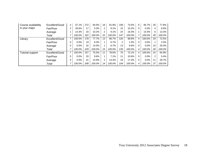| Course availability     | Excellent/Good | 4 | 57.1%   | 272 | 84.5%  | 18                   | 81.8%  | 108            | 73.5%  | 6 | 85.7%   | 35             | 77.8%  |
|-------------------------|----------------|---|---------|-----|--------|----------------------|--------|----------------|--------|---|---------|----------------|--------|
| in your major           | Fair/Poor      | 2 | 28.6%   | 17  | 5.3%   | 2                    | 9.1%   | 15             | 10.2%  | 0 | $0.0\%$ | 4              | 8.9%   |
|                         | Average        |   | 14.3%   | 33  | 10.2%  | $\mathbf{2}^{\circ}$ | 9.1%   | 24             | 16.3%  |   | 14.3%   | 6              | 13.3%  |
|                         | Total          |   | 100.0%  | 322 | 100.0% | 22                   | 100.0% | 147            | 100.0% | 7 | 100.0%  | 45             | 100.0% |
| Library                 | Excellent/Good | 7 | 100.0%  | 178 | 77.7%  | 13                   | 86.7%  | 120            | 88.9%  | 4 | 100.0%  | 29             | 72.5%  |
|                         | Fair/Poor      | 0 | 0.0%    | 19  | 8.3%   |                      | 6.7%   | $\overline{2}$ | 1.5%   | 0 | $0.0\%$ |                | 2.5%   |
|                         | Average        | 0 | $0.0\%$ | 32  | 14.0%  |                      | 6.7%   | 13             | 9.6%   | 0 | 0.0%    | 10             | 25.0%  |
|                         | Total          | 7 | 100.0%  | 229 | 100.0% | 15                   | 100.0% | 135            | 100.0% | 4 | 100.0%  | 40             | 100.0% |
| <b>Tutorial support</b> | Excellent/Good | 7 | 100.0%  | 157 | 75.5%  | 11                   | 78.6%  | 75             | 72.1%  | 4 | 100.0%  | 24             | 64.9%  |
|                         | Fair/Poor      | 0 | $0.0\%$ | 20  | 9.6%   |                      | 7.1%   | 11             | 10.6%  | 0 | 0.0%    | $\overline{2}$ | 5.4%   |
|                         | Average        | 0 | $0.0\%$ | 31  | 14.9%  | $\overline{2}$       | 14.3%  | 18             | 17.3%  | 0 | 0.0%    | 11             | 29.7%  |
|                         | Total          | ⇁ | 100.0%  | 208 | 100.0% | 14                   | 100.0% | 104            | 100.0% | 4 | 100.0%  | 37             | 100.0% |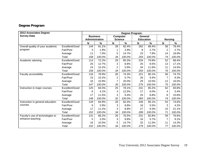# **Degree Program**

| 2012 Associates Degree           | Degree Program: |                |                 |                |         |                  |        |                |               |  |  |
|----------------------------------|-----------------|----------------|-----------------|----------------|---------|------------------|--------|----------------|---------------|--|--|
| <b>Survey Data</b>               | <b>Business</b> |                | <b>Computer</b> |                | General |                  |        |                |               |  |  |
|                                  |                 | Administration |                 | <b>Science</b> |         | <b>Education</b> |        | <b>Nursing</b> |               |  |  |
|                                  |                 | N              | %               | $\mathsf{N}$   | $\%$    | $\mathbf N$      | $\%$   | N              | $\frac{0}{0}$ |  |  |
| Overall quality of your academic | Excellent/Good  | 144            | 91.1%           | 28             | 82.4%   | 262              | 89.4%  | 58             | 78.4%         |  |  |
| program                          | Fair/Poor       | 3              | 1.9%            | 1.             | 2.9%    | 8                | 2.7%   | $\overline{2}$ | 2.7%          |  |  |
|                                  | Average         | 11             | 7.0%            | 5              | 14.7%   | 23               | 7.8%   | 14             | 18.9%         |  |  |
|                                  | Total           | 158            | 100.0%          | 34             | 100.0%  | 293              | 100.0% | 74             | 100.0%        |  |  |
| Academic advising                | Excellent/Good  | 114            | 72.2%           | 29             | 85.3%   | 234              | 79.9%  | 52             | 68.4%         |  |  |
|                                  | Fair/Poor       | 20             | 12.7%           | 3              | 8.8%    | 25               | 8.5%   | 13             | 17.1%         |  |  |
|                                  | Average         | 24             | 15.2%           | $\overline{2}$ | 5.9%    | 34               | 11.6%  | 11             | 14.5%         |  |  |
|                                  | Total           | 158            | 100.0%          | 34             | 100.0%  | 293              | 100.0% | 76             | 100.0%        |  |  |
| Faculty accessibility            | Excellent/Good  | 116            | 78.9%           | 26             | 74.3%   | 221              | 80.1%  | 56             | 74.7%         |  |  |
|                                  | Fair/Poor       | 15             | 10.2%           | $\overline{2}$ | 5.7%    | 26               | 9.4%   | 7              | 9.3%          |  |  |
|                                  | Average         | 16             | 10.9%           | $\overline{7}$ | 20.0%   | 29               | 10.5%  | 12             | 16.0%         |  |  |
|                                  | Total           | 147            | 100.0%          | 35             | 100.0%  | 276              | 100.0% | 75             | 100.0%        |  |  |
| Instruction in major courses     | Excellent/Good  | 125            | 84.5%           | 25             | 78.1%   | 241              | 85.2%  | 62             | 83.8%         |  |  |
|                                  | Fair/Poor       | 6              | 4.1%            | 4              | 12.5%   | 17               | 6.0%   | 4              | 5.4%          |  |  |
|                                  | Average         | 17             | 11.5%           | 3              | 9.4%    | 25               | 8.8%   | 8              | 10.8%         |  |  |
|                                  | Total           | 148            | 100.0%          | 32             | 100.0%  | 283              | 100.0% | 74             | 100.0%        |  |  |
| Instruction in general education | Excellent/Good  | 129            | 84.9%           | 28             | 82.4%   | 246              | 85.1%  | 53             | 74.6%         |  |  |
| courses                          | Fair/Poor       | 6              | 3.9%            | 3              | 8.8%    | 16               | 5.5%   | 3              | 4.2%          |  |  |
|                                  | Average         | 17             | 11.2%           | 3              | 8.8%    | 27               | 9.3%   | 15             | 21.1%         |  |  |
|                                  | Total           | 152            | 100.0%          | 34             | 100.0%  | 289              | 100.0% | 71             | 100.0%        |  |  |
| Faculty's use of technologies to | Excellent/Good  | 131            | 86.2%           | 26             | 76.5%   | 231              | 82.8%  | 59             | 76.6%         |  |  |
| enhance teaching                 | Fair/Poor       | 5              | 3.3%            | 3              | 8.8%    | 16               | 5.7%   | 7              | 9.1%          |  |  |
|                                  | Average         | 16             | 10.5%           | 5              | 14.7%   | 32               | 11.5%  | 11             | 14.3%         |  |  |
|                                  | Total           | 152            | 100.0%          | 34             | 100.0%  | 279              | 100.0% | 77             | 100.0%        |  |  |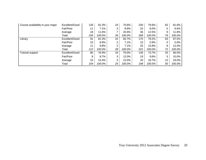| Course availability in your major | Excellent/Good | 126 | 81.3%  | 24 | 70.6%  | 230 | 79.6%  | 62 | 81.6%    |
|-----------------------------------|----------------|-----|--------|----|--------|-----|--------|----|----------|
|                                   | Fair/Poor      | 11  | 7.1%   | 3  | 8.8%   | 23  | 8.0%   | 5  | 6.6%     |
|                                   | Average        | 18  | 11.6%  |    | 20.6%  | 36  | 12.5%  | 9  | $11.8\%$ |
|                                   | Total          | 155 | 100.0% | 34 | 100.0% | 289 | 100.0% | 76 | 100.0%   |
| Library                           | Excellent/Good | 91  | 81.3%  | 24 | 85.7%  | 175 | 79.2%  | 63 | 87.5%    |
|                                   | Fair/Poor      | 10  | 8.9%   | 2  | 7.1%   | 13  | 5.9%   | 0  | $0.0\%$  |
|                                   | Average        | 11  | 9.8%   | 2  | 7.1%   | 33  | 14.9%  | 9  | 12.5%    |
|                                   | Total          | 112 | 100.0% | 28 | 100.0% | 221 | 100.0% | 72 | 100.0%   |
| Tutorial support                  | Excellent/Good | 80  | 76.9%  | 19 | 76.0%  | 146 | 73.7%  | 33 | 66.0%    |
|                                   | Fair/Poor      | 9   | 8.7%   | 3  | 12.0%  | 19  | 9.6%   | 5  | 10.0%    |
|                                   | Average        | 15  | 14.4%  | 3  | 12.0%  | 33  | 16.7%  | 12 | 24.0%    |
|                                   | Total          | 104 | 100.0% | 25 | 100.0% | 198 | 100.0% | 50 | 100.0%   |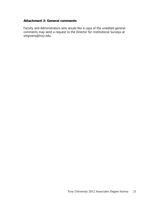# **Attachment 3: General comments**

Faculty and Administrators who would like a copy of the unedited general comments may send a request to the Director for Institutional Surveys at smgivens@troy.edu.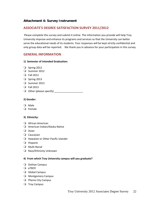# **Attachment 4: Survey Instrument**

# **ASSOCIATE'S DEGREE SATISFACTION SURVEY 2011/2012**

Please complete this survey and submit it online. The information you provide will help Troy University improve and enhance its programs and services so that the University can better serve the educational needs of its students. Your responses will be kept strictly confidential and only group data will be reported. We thank you in advance for your participation in this survey.

## **GENERAL INFORMATION**

#### **1) Semester of Intended Graduation:**

- O Spring 2012
- O Summer 2012
- Fall 2012
- $O$  Spring 2013
- O Summer 2013
- Fall 2013
- Other (please specify) \_\_\_\_\_\_\_\_\_\_\_\_\_\_\_\_\_\_\_\_

## **2) Gender:**

- O Male
- Female

## **3) Ethnicity:**

- African American
- American Indian/Alaska Native
- $Q$  Asian
- Caucasian
- Hawaiian or Other Pacific Islander
- Hispanic
- O Multi-Racial
- Q Race/Ethnicity Unknown

## **4) From which Troy University campus will you graduate?**

- O Dothan Campus
- Q eTROY
- **Q** Global Campus
- O Montgomery Campus
- O Phenix City Campus
- O Troy Campus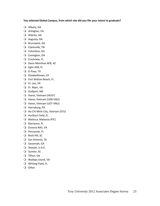## **You selected Global Campus, from which site did you file your intent to graduate?**

- Albany, GA
- Arlington, VA
- Atlanta, GA
- Augusta, GA
- O Brunswick, GA
- Clarksville, TN
- Q Columbus, GA
- O Covington, GA
- Crestview, FL
- Davis‐Monthan AFB, AZ
- Eglin AFB, FL
- El Paso, TX
- Q Elizabethtown, KY
- Fort Walton Beach, FL
- Ft. Lee, VA
- Ft. Myer, VA
- Gulfport, MS
- Hanoi, Vietnam (HUST)
- O Hanoi, Vietnam (UEB-VNU)
- Hanoi, Vietnam (UET‐VNU)
- Harrisburg, PA
- Ho Chi Minh City, Vietnam (STU)
- Hurlburt Field, FL
- Malacca, Malaysia (PIC)
- Marianna, FL
- O Oceana NAS, VA
- O Pensacola, FL
- Q Rock Hill, SC
- O San Antonio, TX
- O Savannah, GA
- O Sharjah, U.A.E.
- O Sumter, SC
- Tifton, GA
- Wallops Island, VA
- Whiting Field, FL
- O Other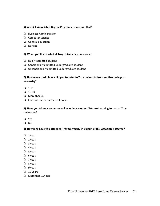#### **5) In which Associate's Degree Program are you enrolled?**

- **Q** Business Administration
- O Computer Science
- General Education
- Q Nursing

## **6) When you first started at Troy University, you were a:**

- Dually‐admitted student
- $\Omega$  Conditionally admitted undergraduate student
- Unconditionally admitted undergraduate student

## **7) How many credit hours did you transfer to Troy University from another college or university?**

- $Q$  1-15
- $Q$  16-30
- O More than 30
- $\bigcirc$  I did not transfer any credit hours.

## **8) Have you taken any courses online or in any other Distance Learning format at Troy University?**

- Yes
- O No

#### **9) How long have you attended Troy University in pursuit of this Associate's Degree?**

- $Q_1$  year
- $Q$  2 years
- 3 years
- $Q$  4 years
- $O$  5 years
- $O$  6 years
- $Q$  7 years
- $Q$  8 years
- $Q$  9 years
- $Q$  10 years
- O More than 10years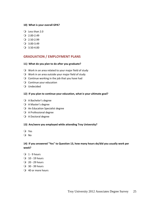#### **10) What is your overall GPA?**

- Less than 2.0
- $Q$  2.00-2.49
- $Q$  2.50-2.99
- $Q$  3.00-3.49
- $Q$  3.50-4.00

## **GRADUATION / EMPLOYMENT PLANS**

#### **11) What do you plan to do after you graduate?**

- Work in an area related to your major field of study
- $\bigcirc$  Work in an area outside your major field of study
- $\Omega$  Continue working in the job that you have had
- O Continue your education
- Undecided

## **12) If you plan to continue your education, what is your ultimate goal?**

- A Bachelor's degree
- A Master's degree
- An Education Specialist degree
- A Professional degree
- A Doctoral degree

## **13) Are/were you employed while attending Troy University?**

- Yes
- O No

## **14) If you answered "Yes" to Question 13, how many hours do/did you usually work per week?**

- $Q_1 9$  hours
- $Q$  10 19 hours
- $Q$  20 29 hours
- 30 ‐ 39 hours
- 40 or more hours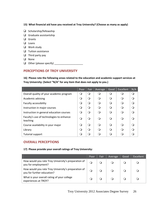## **15) What financial aid have you received at Troy University? (Choose as many as apply)**

- $\Box$  Scholarship/fellowship
- $\Box$  Graduate assistantship
- $\Box$  Grants
- **Loans**
- **Q** Work study
- $\Box$  Tuition assistance
- $\Box$  Third party pay
- **Q** None
- Other (please specify) \_\_\_\_\_\_\_\_\_\_\_\_\_\_\_\_\_\_\_\_

# **PERCEPTIONS OF TROY UNIVERSITY**

**16) Please rate the following areas related to the education and academic support services at Troy University: (Select "N/A" for any item that does not apply to you.)**

|                                                      | Poor     | Fair | Average  | Good             | Excellent | N/A |
|------------------------------------------------------|----------|------|----------|------------------|-----------|-----|
| Overall quality of your academic program             | O        | ∩    | $\Omega$ | $\Omega$         | ∩         | ∩   |
| Academic advising                                    | ∩        | ∩    | ∩        | ∩                | $\Omega$  | ()  |
| Faculty accessibility                                | ∩        | ∩    | ∩        | $\Omega$         | $\Omega$  | ( ) |
| Instruction in major courses                         | Q        | ∩    | ∩        | ∩                | $\Omega$  |     |
| Instruction in general education courses             | O        | ∩    | ∩        | $\Omega$         | ∩         |     |
| Faculty's use of technologies to enhance<br>teaching | Q        | ∩    | ∩        | ∩                | $\Omega$  |     |
| Course availability in your major                    | O        | ∩    | ∩        | ∩                | $\Omega$  | ()  |
| Library                                              | ∩        | ∩    | ∩        | ∩                | ∩         |     |
| <b>Tutorial support</b>                              | $\Omega$ | ∩    |          | $\left( \right)$ | ∩         |     |

# **OVERALL PERCEPTIONS**

## **17) Please provide your overall ratings of Troy University:**

|                                                                                   | Poor | Fair | Average | Good | Excellent |
|-----------------------------------------------------------------------------------|------|------|---------|------|-----------|
| How would you rate Troy University's preparation of<br>you for employment?        |      |      |         |      |           |
| How would you rate Troy University's preparation of<br>you for further education? |      |      |         |      |           |
| What is your overall rating of your college<br>experiences at TROY?               |      |      |         |      |           |